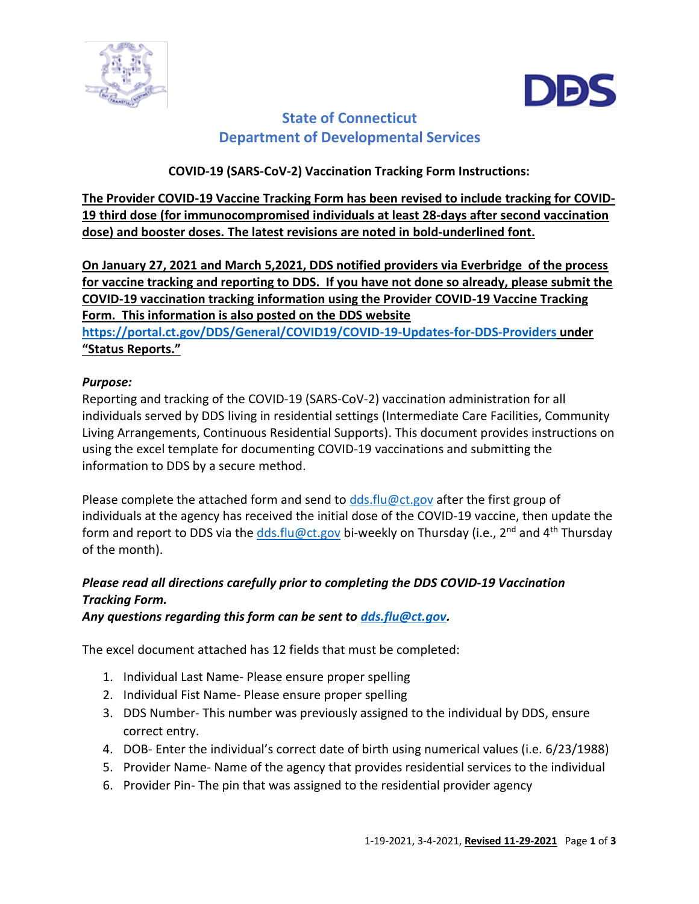



# **State of Connecticut Department of Developmental Services**

**COVID-19 (SARS-CoV-2) Vaccination Tracking Form Instructions:**

**The Provider COVID-19 Vaccine Tracking Form has been revised to include tracking for COVID-19 third dose (for immunocompromised individuals at least 28-days after second vaccination dose) and booster doses. The latest revisions are noted in bold-underlined font.**

**On January 27, 2021 and March 5,2021, DDS notified providers via Everbridge of the process for vaccine tracking and reporting to DDS. If you have not done so already, please submit the COVID-19 vaccination tracking information using the Provider COVID-19 Vaccine Tracking Form. This information is also posted on the DDS website** 

**<https://portal.ct.gov/DDS/General/COVID19/COVID-19-Updates-for-DDS-Providers> under "Status Reports."** 

#### *Purpose:*

Reporting and tracking of the COVID-19 (SARS-CoV-2) vaccination administration for all individuals served by DDS living in residential settings (Intermediate Care Facilities, Community Living Arrangements, Continuous Residential Supports). This document provides instructions on using the excel template for documenting COVID-19 vaccinations and submitting the information to DDS by a secure method.

Please complete the attached form and send to [dds.flu@ct.gov](mailto:dds.flu@ct.gov) after the first group of individuals at the agency has received the initial dose of the COVID-19 vaccine, then update the form and report to DDS via the [dds.flu@ct.gov](mailto:dds.flu@ct.gov) bi-weekly on Thursday (i.e., 2<sup>nd</sup> and 4<sup>th</sup> Thursday of the month).

# *Please read all directions carefully prior to completing the DDS COVID-19 Vaccination Tracking Form.*

*Any questions regarding this form can be sent to [dds.flu@ct.gov.](mailto:dds.flu@ct.gov)* 

The excel document attached has 12 fields that must be completed:

- 1. Individual Last Name- Please ensure proper spelling
- 2. Individual Fist Name- Please ensure proper spelling
- 3. DDS Number- This number was previously assigned to the individual by DDS, ensure correct entry.
- 4. DOB- Enter the individual's correct date of birth using numerical values (i.e. 6/23/1988)
- 5. Provider Name- Name of the agency that provides residential services to the individual
- 6. Provider Pin- The pin that was assigned to the residential provider agency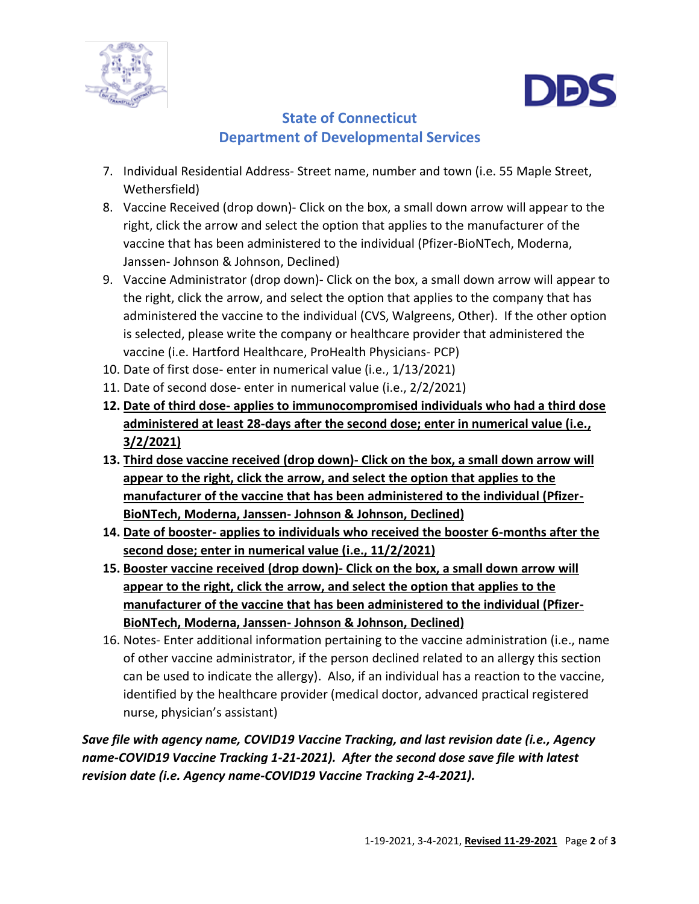



# **State of Connecticut Department of Developmental Services**

- 7. Individual Residential Address- Street name, number and town (i.e. 55 Maple Street, Wethersfield)
- 8. Vaccine Received (drop down)- Click on the box, a small down arrow will appear to the right, click the arrow and select the option that applies to the manufacturer of the vaccine that has been administered to the individual (Pfizer-BioNTech, Moderna, Janssen- Johnson & Johnson, Declined)
- 9. Vaccine Administrator (drop down)- Click on the box, a small down arrow will appear to the right, click the arrow, and select the option that applies to the company that has administered the vaccine to the individual (CVS, Walgreens, Other). If the other option is selected, please write the company or healthcare provider that administered the vaccine (i.e. Hartford Healthcare, ProHealth Physicians- PCP)
- 10. Date of first dose- enter in numerical value (i.e., 1/13/2021)
- 11. Date of second dose- enter in numerical value (i.e., 2/2/2021)
- **12. Date of third dose- applies to immunocompromised individuals who had a third dose administered at least 28-days after the second dose; enter in numerical value (i.e., 3/2/2021)**
- **13. Third dose vaccine received (drop down)- Click on the box, a small down arrow will appear to the right, click the arrow, and select the option that applies to the manufacturer of the vaccine that has been administered to the individual (Pfizer-BioNTech, Moderna, Janssen- Johnson & Johnson, Declined)**
- **14. Date of booster- applies to individuals who received the booster 6-months after the second dose; enter in numerical value (i.e., 11/2/2021)**
- **15. Booster vaccine received (drop down)- Click on the box, a small down arrow will appear to the right, click the arrow, and select the option that applies to the manufacturer of the vaccine that has been administered to the individual (Pfizer-BioNTech, Moderna, Janssen- Johnson & Johnson, Declined)**
- 16. Notes- Enter additional information pertaining to the vaccine administration (i.e., name of other vaccine administrator, if the person declined related to an allergy this section can be used to indicate the allergy). Also, if an individual has a reaction to the vaccine, identified by the healthcare provider (medical doctor, advanced practical registered nurse, physician's assistant)

*Save file with agency name, COVID19 Vaccine Tracking, and last revision date (i.e., Agency name-COVID19 Vaccine Tracking 1-21-2021). After the second dose save file with latest revision date (i.e. Agency name-COVID19 Vaccine Tracking 2-4-2021).*